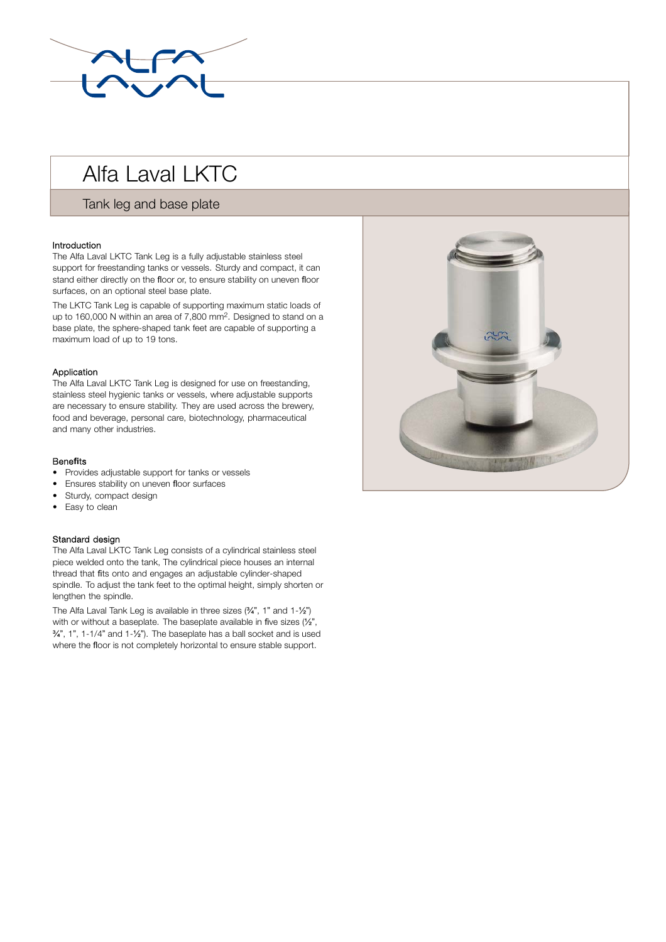

# Alfa Laval LKTC

## Tank leg and base plate

### Introduction

The Alfa Laval LKTC Tank Leg is a fully adjustable stainless steel support for freestanding tanks or vessels. Sturdy and compact, it can stand either directly on the floor or, to ensure stability on uneven floor surfaces, on an optional steel base plate.

The LKTC Tank Leg is capable of supporting maximum static loads of up to 160,000 N within an area of 7,800 mm2. Designed to stand on a base plate, the sphere-shaped tank feet are capable of supporting a maximum load of up to 19 tons.

#### Application

The Alfa Laval LKTC Tank Leg is designed for use on freestanding, stainless steel hygienic tanks or vessels, where adjustable supports are necessary to ensure stability. They are used across the brewery, food and beverage, personal care, biotechnology, pharmaceutical and many other industries.

#### Bene**fi**ts

- Provides adjustable support for tanks or vessels
- Ensures stability on uneven floor surfaces
- Sturdy, compact design
- . Easy to clean

#### Standard design

The Alfa Laval LKTC Tank Leg consists of a cylindrical stainless steel piece welded onto the tank, The cylindrical piece houses an internal thread that fits onto and engages an adjustable cylinder-shaped spindle. To adjust the tank feet to the optimal height, simply shorten or lengthen the spindle.

The Alfa Laval Tank Leg is available in three sizes (¾", 1" and 1-½") with or without a baseplate. The baseplate available in five sizes (½",  $\frac{3}{4}$ , 1", 1-1/4" and 1- $\frac{1}{2}$ "). The baseplate has a ball socket and is used where the floor is not completely horizontal to ensure stable support.

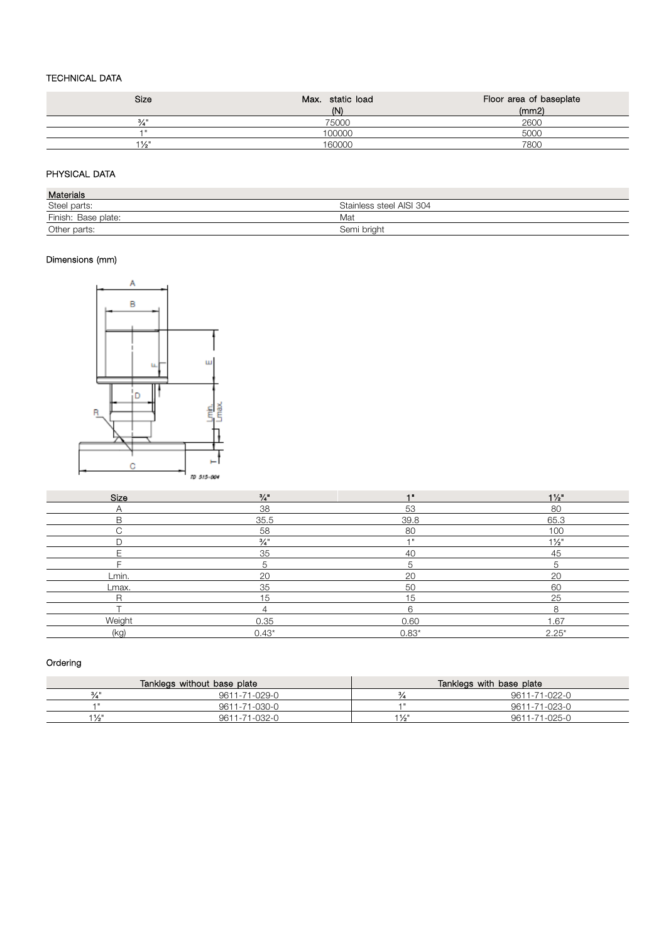## TECHNICAL DATA

| <b>Size</b>      | Max. static load | Floor area of baseplate |
|------------------|------------------|-------------------------|
|                  | (N)              | (mm2)                   |
| 3/1              | 75000            | 2600                    |
| 4 H              | 100000           | 5000                    |
| $1\frac{1}{2}$ " | 160000           | 7800                    |

## PHYSICAL DATA

| <b>Materials</b>    |                          |
|---------------------|--------------------------|
| Steel parts:        | Stainless steel AISI 304 |
| Finish: Base plate: | Mat                      |
| Other parts:        | Semi briaht              |

## Dimensions (mm)



| Size   | $\frac{3}{4}$   | -1.8    | $1\frac{1}{2}$   |
|--------|-----------------|---------|------------------|
| Α      | 38              | 53      | 80               |
| B      | 35.5            | 39.8    | 65.3             |
| $\sim$ | 58              | 80      | 100              |
|        | $\frac{3}{4}$ " | $-1$    | $1\frac{1}{2}$ " |
|        | 35              | 40      | 45               |
|        | 5               | 5       | 5                |
| Lmin.  | 20              | 20      | 20               |
| Lmax.  | 35              | 50      | 60               |
| R      | 15              | 15      | 25               |
|        |                 | 6       | 8                |
| Weight | 0.35            | 0.60    | 1.67             |
| (kg)   | $0.43*$         | $0.83*$ | $2.25*$          |

## Ordering

| Tanklegs without base plate |               | Tanklegs with base plate |               |  |
|-----------------------------|---------------|--------------------------|---------------|--|
| 3/1                         | 9611-71-029-0 |                          | 9611-71-022-0 |  |
| 4 H                         | 9611-71-030-0 | . .                      | 9611-71-023-0 |  |
| 11/4"                       | 9611-71-032-0 | 11/4"                    | 9611-71-025-0 |  |